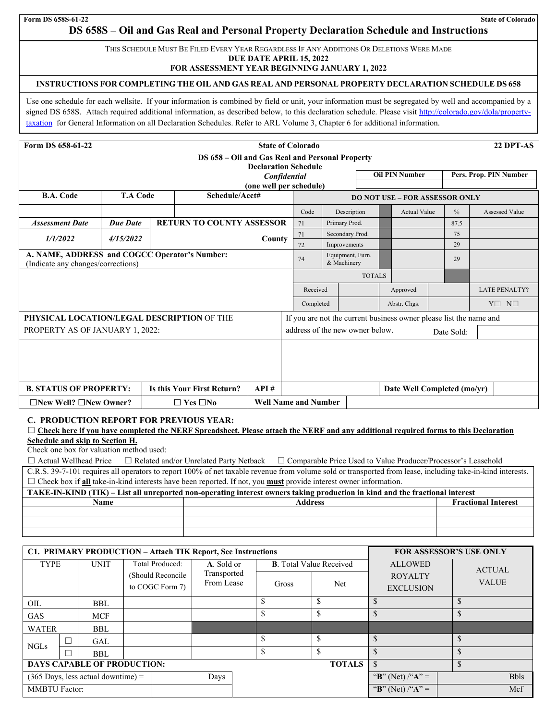# **DS 658S – Oil and Gas Real and Personal Property Declaration Schedule and Instructions**

THIS SCHEDULE MUST BE FILED EVERY YEAR REGARDLESS IF ANY ADDITIONS OR DELETIONS WERE MADE

**DUE DATE APRIL 15, 2022** 

## **FOR ASSESSMENT YEAR BEGINNING JANUARY 1, 2022**

## **INSTRUCTIONS FOR COMPLETING THE OIL AND GAS REAL AND PERSONAL PROPERTY DECLARATION SCHEDULE DS 658**

Use one schedule for each wellsite. If your information is combined by field or unit, your information must be segregated by well and accompanied by a signed DS 658S. Attach required additional information, as described below, to this declaration schedule. Please visit http://colorado.gov/dola/propertytaxation for General Information on all Declaration Schedules. Refer to ARL Volume 3, Chapter 6 for additional information.

| Form DS 658-61-22                                                                   |                 |  |                                                 |                             | <b>State of Colorado</b>                                           |                                 |                 |               |              |                                       |                      | 22 DPT-AS              |
|-------------------------------------------------------------------------------------|-----------------|--|-------------------------------------------------|-----------------------------|--------------------------------------------------------------------|---------------------------------|-----------------|---------------|--------------|---------------------------------------|----------------------|------------------------|
|                                                                                     |                 |  | DS 658 - Oil and Gas Real and Personal Property | <b>Declaration Schedule</b> |                                                                    |                                 |                 |               |              |                                       |                      |                        |
|                                                                                     |                 |  |                                                 |                             | Confidential                                                       |                                 |                 |               |              | <b>Oil PIN Number</b>                 |                      | Pers. Prop. PIN Number |
| B.A. Code                                                                           | <b>T.A Code</b> |  | Schedule/Acct#                                  | (one well per schedule)     |                                                                    |                                 |                 |               |              | <b>DO NOT USE - FOR ASSESSOR ONLY</b> |                      |                        |
|                                                                                     |                 |  |                                                 |                             | Code                                                               |                                 | Description     |               |              | <b>Actual Value</b>                   | $\frac{0}{0}$        | Assessed Value         |
| <b>Assessment Date</b>                                                              | <b>Due Date</b> |  | <b>RETURN TO COUNTY ASSESSOR</b>                |                             | 71                                                                 |                                 | Primary Prod.   |               |              |                                       | 87.5                 |                        |
| 1/1/2022                                                                            | 4/15/2022       |  |                                                 |                             | 71                                                                 |                                 | Secondary Prod. |               |              |                                       | 75                   |                        |
|                                                                                     | County          |  |                                                 | 72                          |                                                                    | Improvements                    |                 |               |              | 29                                    |                      |                        |
| A. NAME, ADDRESS and COGCC Operator's Number:<br>(Indicate any changes/corrections) |                 |  |                                                 | 74                          |                                                                    | Equipment, Furn.<br>& Machinery |                 |               |              | 29                                    |                      |                        |
|                                                                                     |                 |  |                                                 |                             |                                                                    |                                 |                 | <b>TOTALS</b> |              |                                       |                      |                        |
|                                                                                     |                 |  |                                                 |                             |                                                                    | Received                        |                 |               | Approved     |                                       | <b>LATE PENALTY?</b> |                        |
|                                                                                     |                 |  |                                                 |                             |                                                                    | Completed                       |                 |               | Abstr. Chgs. |                                       | $Y \Box N \Box$      |                        |
| PHYSICAL LOCATION/LEGAL DESCRIPTION OF THE                                          |                 |  |                                                 |                             | If you are not the current business owner please list the name and |                                 |                 |               |              |                                       |                      |                        |
| PROPERTY AS OF JANUARY 1, 2022:                                                     |                 |  |                                                 |                             | address of the new owner below.<br>Date Sold:                      |                                 |                 |               |              |                                       |                      |                        |
|                                                                                     |                 |  |                                                 |                             |                                                                    |                                 |                 |               |              |                                       |                      |                        |
|                                                                                     |                 |  |                                                 |                             |                                                                    |                                 |                 |               |              |                                       |                      |                        |
|                                                                                     |                 |  |                                                 |                             |                                                                    |                                 |                 |               |              |                                       |                      |                        |
| <b>B. STATUS OF PROPERTY:</b>                                                       |                 |  | <b>Is this Your First Return?</b>               | API#                        |                                                                    |                                 |                 |               |              | Date Well Completed (mo/yr)           |                      |                        |
| $\Box$ New Well? $\Box$ New Owner?                                                  |                 |  | $\Box$ Yes $\Box$ No                            | <b>Well Name and Number</b> |                                                                    |                                 |                 |               |              |                                       |                      |                        |

# **C. PRODUCTION REPORT FOR PREVIOUS YEAR:**

# □ Check here if you have completed the NERF Spreadsheet. Please attach the NERF and any additional required forms to this Declaration **Schedule and skip to Section H.**

Check one box for valuation method used:

☐ Actual Wellhead Price ☐ Related and/or Unrelated Party Netback ☐ Comparable Price Used to Value Producer/Processor's Leasehold

C.R.S. 39-7-101 requires all operators to report 100% of net taxable revenue from volume sold or transported from lease, including take-in-kind interests. ☐ Check box if **all** take-in-kind interests have been reported. If not, you **must** provide interest owner information.

| TAKE-IN-KIND (TIK) – List all unreported non-operating interest owners taking production in kind and the fractional interest |                |                            |  |  |  |  |  |  |
|------------------------------------------------------------------------------------------------------------------------------|----------------|----------------------------|--|--|--|--|--|--|
| Name                                                                                                                         | <b>Address</b> | <b>Fractional Interest</b> |  |  |  |  |  |  |
|                                                                                                                              |                |                            |  |  |  |  |  |  |
|                                                                                                                              |                |                            |  |  |  |  |  |  |
|                                                                                                                              |                |                            |  |  |  |  |  |  |

|                                                     | C1. PRIMARY PRODUCTION - Attach TIK Report, See Instructions |                                      |                                      |                           |  | <b>FOR ASSESSOR'S USE ONLY</b> |                |                                    |               |              |
|-----------------------------------------------------|--------------------------------------------------------------|--------------------------------------|--------------------------------------|---------------------------|--|--------------------------------|----------------|------------------------------------|---------------|--------------|
| TYPE<br><b>UNIT</b>                                 |                                                              | <b>Total Produced:</b>               | A. Sold or                           |                           |  | <b>B.</b> Total Value Received | <b>ALLOWED</b> |                                    | <b>ACTUAL</b> |              |
|                                                     |                                                              |                                      | (Should Reconcile<br>to COGC Form 7) | Transported<br>From Lease |  | Gross                          | Net            | <b>ROYALTY</b><br><b>EXCLUSION</b> |               | <b>VALUE</b> |
| OIL                                                 |                                                              | <b>BBL</b>                           |                                      |                           |  |                                |                |                                    |               |              |
| <b>GAS</b>                                          |                                                              | <b>MCF</b>                           |                                      |                           |  |                                |                |                                    |               |              |
| <b>WATER</b>                                        |                                                              | BBL                                  |                                      |                           |  |                                |                |                                    |               |              |
| <b>NGLs</b>                                         |                                                              | GAL                                  |                                      |                           |  | ۰D.                            | \$             | \$                                 |               |              |
|                                                     |                                                              | <b>BBL</b>                           |                                      |                           |  |                                |                |                                    | \$            |              |
| <b>TOTALS</b><br><b>DAYS CAPABLE OF PRODUCTION:</b> |                                                              |                                      |                                      |                           |  |                                |                |                                    |               |              |
|                                                     |                                                              | $(365$ Days, less actual downtime) = |                                      | Days                      |  |                                |                | "B" (Net) /" $A$ " =               |               | <b>Bbls</b>  |
| <b>MMBTU Factor:</b>                                |                                                              |                                      |                                      |                           |  |                                |                | "B" (Net) /" $A$ " =               |               | Mcf          |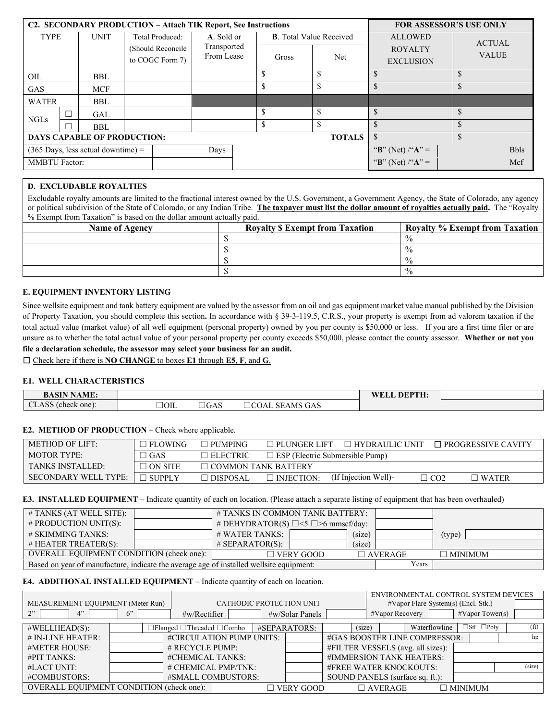|                            | C2. SECONDARY PRODUCTION – Attach TIK Report, See Instructions |                                              |                           |            |  | <b>FOR ASSESSOR'S USE ONLY</b> |                                  |                      |              |
|----------------------------|----------------------------------------------------------------|----------------------------------------------|---------------------------|------------|--|--------------------------------|----------------------------------|----------------------|--------------|
| <b>TYPE</b><br><b>UNIT</b> |                                                                | <b>Total Produced:</b><br>(Should Reconcile) | A. Sold or<br>Transported |            |  | <b>B.</b> Total Value Received | <b>ALLOWED</b><br><b>ROYALTY</b> | <b>ACTUAL</b>        |              |
|                            |                                                                |                                              | to COGC Form 7)           | From Lease |  | Net<br>Gross                   |                                  | <b>EXCLUSION</b>     | <b>VALUE</b> |
| OIL                        |                                                                | BBL                                          |                           |            |  | S                              |                                  |                      |              |
| <b>GAS</b>                 |                                                                | <b>MCF</b>                                   |                           |            |  | \$                             |                                  | \$                   |              |
| <b>WATER</b>               |                                                                | BBL                                          |                           |            |  |                                |                                  |                      |              |
| <b>NGLs</b>                | $\Box$                                                         | GAL                                          |                           |            |  | \$                             |                                  | \$                   |              |
|                            |                                                                | <b>BBL</b>                                   |                           |            |  | \$                             |                                  | $\mathcal{S}$        |              |
|                            | <b>TOTALS</b><br><b>DAYS CAPABLE OF PRODUCTION:</b>            |                                              |                           |            |  | $\mathcal{S}$                  |                                  |                      |              |
|                            |                                                                | $(365$ Days, less actual downtime) =         |                           | Days       |  |                                |                                  | "B" (Net) /" $A$ " = | <b>Bbls</b>  |
| <b>MMBTU Factor:</b>       |                                                                |                                              |                           |            |  |                                |                                  | "B" (Net) /"A" =     | Mcf          |

# **D. EXCLUDABLE ROYALTIES**

Excludable royalty amounts are limited to the fractional interest owned by the U.S. Government, a Government Agency, the State of Colorado, any agency or political subdivision of the State of Colorado, or any Indian Tribe. **The taxpayer must list the dollar amount of royalties actually paid.** The "Royalty % Exempt from Taxation" is based on the dollar amount actually paid.

| <b>Name of Agency</b> | <b>Royalty \$ Exempt from Taxation</b> | <b>Royalty % Exempt from Taxation</b> |  |  |
|-----------------------|----------------------------------------|---------------------------------------|--|--|
|                       |                                        | $\frac{0}{0}$                         |  |  |
|                       |                                        | $\frac{0}{0}$                         |  |  |
|                       |                                        | $\frac{6}{6}$                         |  |  |
|                       |                                        | $\frac{0}{0}$                         |  |  |

#### **E. EQUIPMENT INVENTORY LISTING**

Since wellsite equipment and tank battery equipment are valued by the assessor from an oil and gas equipment market value manual published by the Division of Property Taxation, you should complete this section**.** In accordance with § 39-3-119.5, C.R.S., your property is exempt from ad valorem taxation if the total actual value (market value) of all well equipment (personal property) owned by you per county is \$50,000 or less. If you are a first time filer or are unsure as to whether the total actual value of your personal property per county exceeds \$50,000, please contact the county assessor. **Whether or not you file a declaration schedule, the assessor may select your business for an audit.** 

☐ Check here if there is **NO CHANGE** to boxes **E1** through **E5**, **F**, and **G**.

## **E1. WELL CHARACTERISTICS**

| <b>SIN NAME:</b><br>$\mathbf{B}$<br><b>BASIN</b>    |      |      |                                     | DEPTH.<br><b>WEL</b> |  |
|-----------------------------------------------------|------|------|-------------------------------------|----------------------|--|
| $AA$ CC $\sim$<br>$\sim$<br>(check one):<br>≂LASS ⊓ | 10IL | ∃GAS | <b>SEAMS GAS</b><br>$\sim$<br>JCOAL |                      |  |

#### **E2. METHOD OF PRODUCTION** – Check where applicable.

| <b>METHOD OF LIFT:</b>  | $\Box$ FLOWING | $\Box$ PUMPING             | $\Box$ PLUNGER LIFT                    | ∃ HYDRAULIC UNIT     |     | $\Box$ PROGRESSIVE CAVITY |  |  |
|-------------------------|----------------|----------------------------|----------------------------------------|----------------------|-----|---------------------------|--|--|
| MOTOR TYPE:             | $\exists$ GAS  | $\Box$ ELECTRIC            | $\Box$ ESP (Electric Submersible Pump) |                      |     |                           |  |  |
| <b>TANKS INSTALLED:</b> | $\Box$ ON SITE | $\Box$ COMMON TANK BATTERY |                                        |                      |     |                           |  |  |
| SECONDARY WELL TYPE:    | $\Box$ SUPPLY  | □ DISPOSAL                 | $\Box$ INJECTION:                      | (If Injection Well)- | CO2 | $\sqsupset$ water         |  |  |

#### **E3. INSTALLED EQUIPMENT** – Indicate quantity of each on location. (Please attach a separate listing of equipment that has been overhauled)

| # TANKS (AT WELL SITE):                                                                 |  |                                                | # TANKS IN COMMON TANK BATTERY: |        |                |                |  |
|-----------------------------------------------------------------------------------------|--|------------------------------------------------|---------------------------------|--------|----------------|----------------|--|
| # PRODUCTION UNIT(S):                                                                   |  | # DEHYDRATOR(S) $\Box$ <5 $\Box$ >6 mmscf/day: |                                 |        |                |                |  |
| # SKIMMING TANKS:                                                                       |  | # WATER TANKS:                                 |                                 | (size) |                | (type)         |  |
| $#$ HEATER TREATER(S):                                                                  |  | $#$ SEPARATOR(S):                              |                                 | (size) |                |                |  |
| OVERALL EQUIPMENT CONDITION (check one):                                                |  | $\Box$ VERY GOOD                               |                                 |        | $\Box$ AVERAGE | $\Box$ MINIMUM |  |
| Based on year of manufacture, indicate the average age of installed wellsite equipment: |  |                                                |                                 |        |                |                |  |

#### **E4. ADDITIONAL INSTALLED EQUIPMENT** – Indicate quantity of each on location.

|                                          |    |                                             |                          |  |                 |                                     |                 |                |  | ENVIRONMENTAL CONTROL SYSTEM DEVICES |                   |
|------------------------------------------|----|---------------------------------------------|--------------------------|--|-----------------|-------------------------------------|-----------------|----------------|--|--------------------------------------|-------------------|
| MEASUREMENT EQUIPMENT (Meter Run)        |    |                                             | CATHODIC PROTECTION UNIT |  |                 | #Vapor Flare System(s) (Encl. Stk.) |                 |                |  |                                      |                   |
| 2"<br>4"                                 | 6" | $\#w/Rectifier$                             |                          |  | #w/Solar Panels |                                     | #Vapor Recovery |                |  | $\# \text{Vapor Tower(s)}$           |                   |
| $\#WELLHEAD(S):$                         |    | $\Box$ Flanged $\Box$ Threaded $\Box$ Combo |                          |  | #SEPARATORS:    | (size)                              |                 | Waterflowline  |  | $\Box$ Stl $\Box$ Poly               | (f <sup>t</sup> ) |
|                                          |    |                                             |                          |  |                 |                                     |                 |                |  |                                      |                   |
| $# IN-LINE HEATER:$                      |    | #CIRCULATION PUMP UNITS:                    |                          |  |                 | #GAS BOOSTER LINE COMPRESSOR:       |                 |                |  |                                      | hp                |
| #METER HOUSE:                            |    | # RECYCLE PUMP:                             |                          |  |                 | #FILTER VESSELS (avg. all sizes):   |                 |                |  |                                      |                   |
| #PIT TANKS:                              |    | #CHEMICAL TANKS:                            |                          |  |                 | #IMMERSION TANK HEATERS:            |                 |                |  |                                      |                   |
| #LACT UNIT:                              |    | # CHEMICAL PMP/TNK:                         |                          |  |                 | #FREE WATER KNOCKOUTS:              |                 |                |  |                                      | (size)            |
| #COMBUSTORS:                             |    | #SMALL COMBUSTORS:                          |                          |  |                 | SOUND PANELS (surface sq. ft.):     |                 |                |  |                                      |                   |
| OVERALL EQUIPMENT CONDITION (check one): |    |                                             | $\Box$ VERY GOOD         |  | $\Box$ AVERAGE  |                                     |                 | $\Box$ MINIMUM |  |                                      |                   |